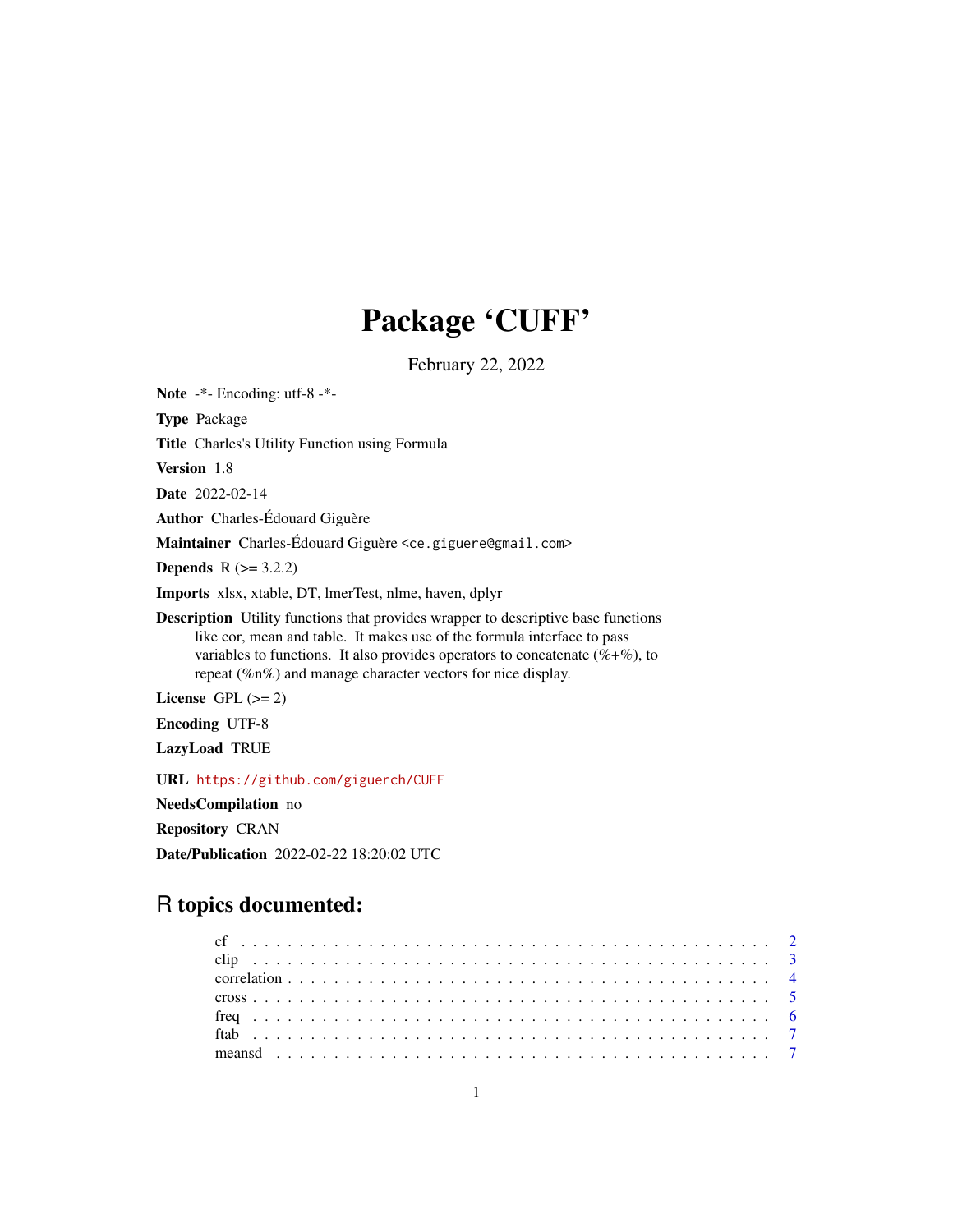# Package 'CUFF'

February 22, 2022

Note -\*- Encoding: utf-8 -\*- Type Package Title Charles's Utility Function using Formula Version 1.8 Date 2022-02-14 Author Charles-Édouard Giguère Maintainer Charles-Édouard Giguère <ce.giguere@gmail.com> **Depends**  $R$  ( $>= 3.2.2$ ) Imports xlsx, xtable, DT, lmerTest, nlme, haven, dplyr Description Utility functions that provides wrapper to descriptive base functions like cor, mean and table. It makes use of the formula interface to pass variables to functions. It also provides operators to concatenate  $(\% +\%)$ , to repeat (%n%) and manage character vectors for nice display. License GPL  $(>= 2)$ Encoding UTF-8 LazyLoad TRUE URL <https://github.com/giguerch/CUFF> NeedsCompilation no Repository CRAN

Date/Publication 2022-02-22 18:20:02 UTC

# R topics documented: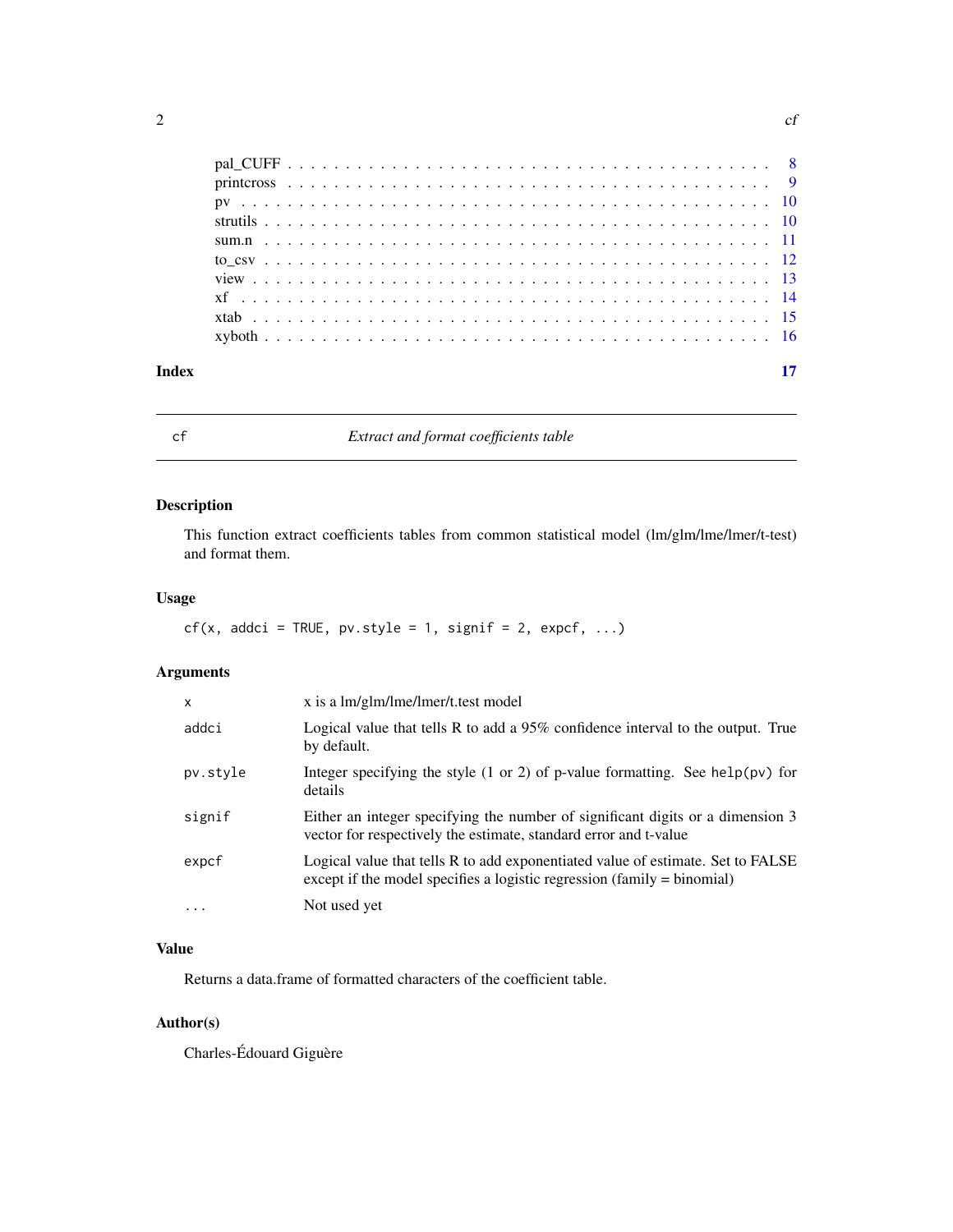<span id="page-1-0"></span>

| Index |  |
|-------|--|
|       |  |
|       |  |
|       |  |
|       |  |
|       |  |
|       |  |
|       |  |
|       |  |
|       |  |
|       |  |

# cf *Extract and format coefficients table*

# Description

This function extract coefficients tables from common statistical model (lm/glm/lme/lmer/t-test) and format them.

# Usage

```
cf(x, addci = TRUE, p v-style = 1, signif = 2, expcf, ...)
```
# Arguments

| X        | x is a lm/glm/lme/lmer/t.test model                                                                                                                          |
|----------|--------------------------------------------------------------------------------------------------------------------------------------------------------------|
| addci    | Logical value that tells R to add a 95% confidence interval to the output. True<br>by default.                                                               |
| pv.style | Integer specifying the style $(1 \text{ or } 2)$ of p-value formatting. See help $(pv)$ for<br>details                                                       |
| signif   | Either an integer specifying the number of significant digits or a dimension 3<br>vector for respectively the estimate, standard error and t-value           |
| expcf    | Logical value that tells R to add exponentiated value of estimate. Set to FALSE<br>except if the model specifies a logistic regression $(family = binomial)$ |
| $\cdots$ | Not used yet                                                                                                                                                 |

# Value

Returns a data.frame of formatted characters of the coefficient table.

# Author(s)

Charles-Édouard Giguère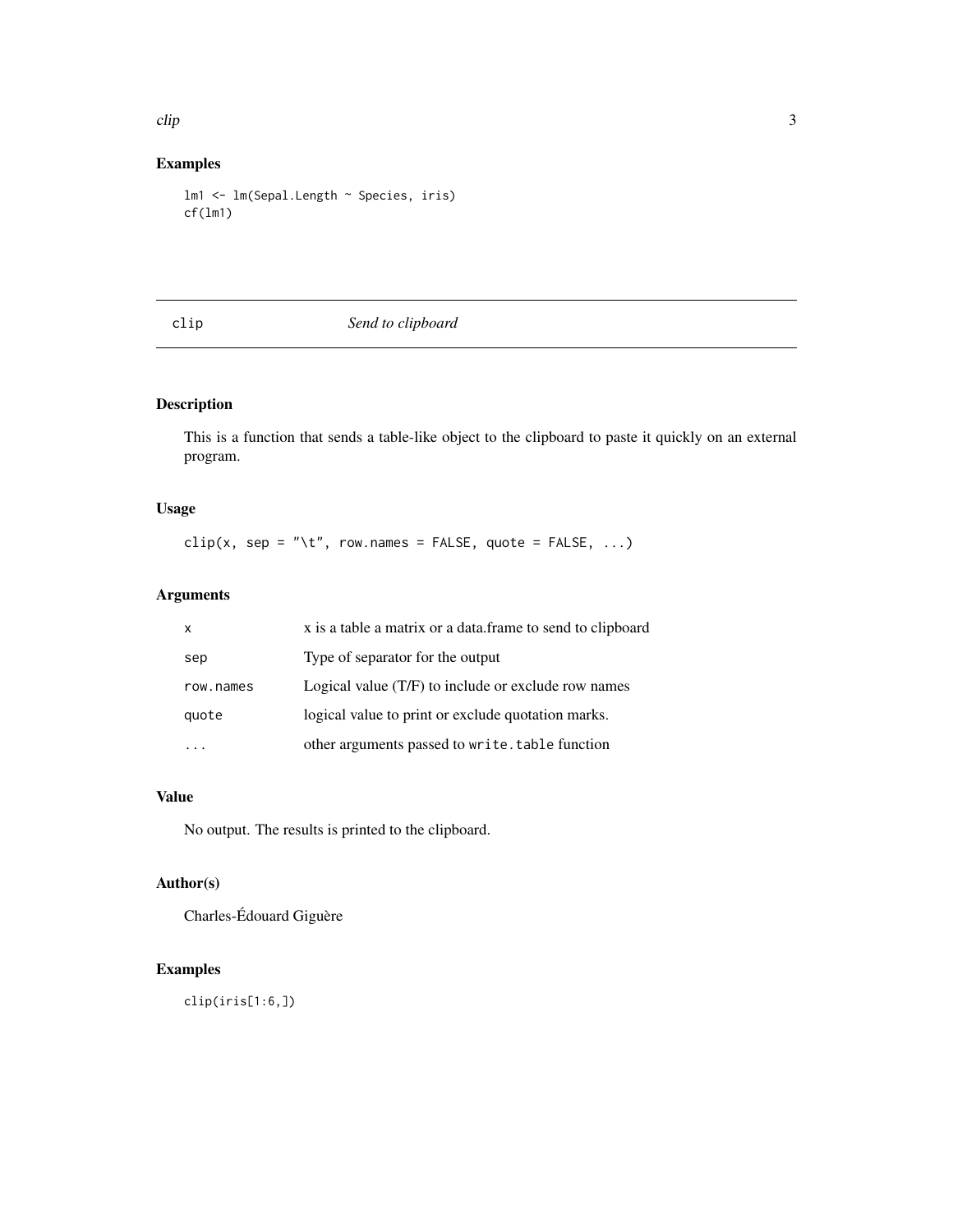#### <span id="page-2-0"></span>clip 3

# Examples

```
lm1 <- lm(Sepal.Length ~ Species, iris)
cf(lm1)
```
# clip *Send to clipboard*

# Description

This is a function that sends a table-like object to the clipboard to paste it quickly on an external program.

# Usage

clip(x, sep = "\t", row.names = FALSE, quote = FALSE, ...)

# Arguments

| X         | x is a table a matrix or a data.frame to send to clipboard |
|-----------|------------------------------------------------------------|
| sep       | Type of separator for the output                           |
| row.names | Logical value (T/F) to include or exclude row names        |
| quote     | logical value to print or exclude quotation marks.         |
|           | other arguments passed to write. table function            |

# Value

No output. The results is printed to the clipboard.

# Author(s)

Charles-Édouard Giguère

# Examples

clip(iris[1:6,])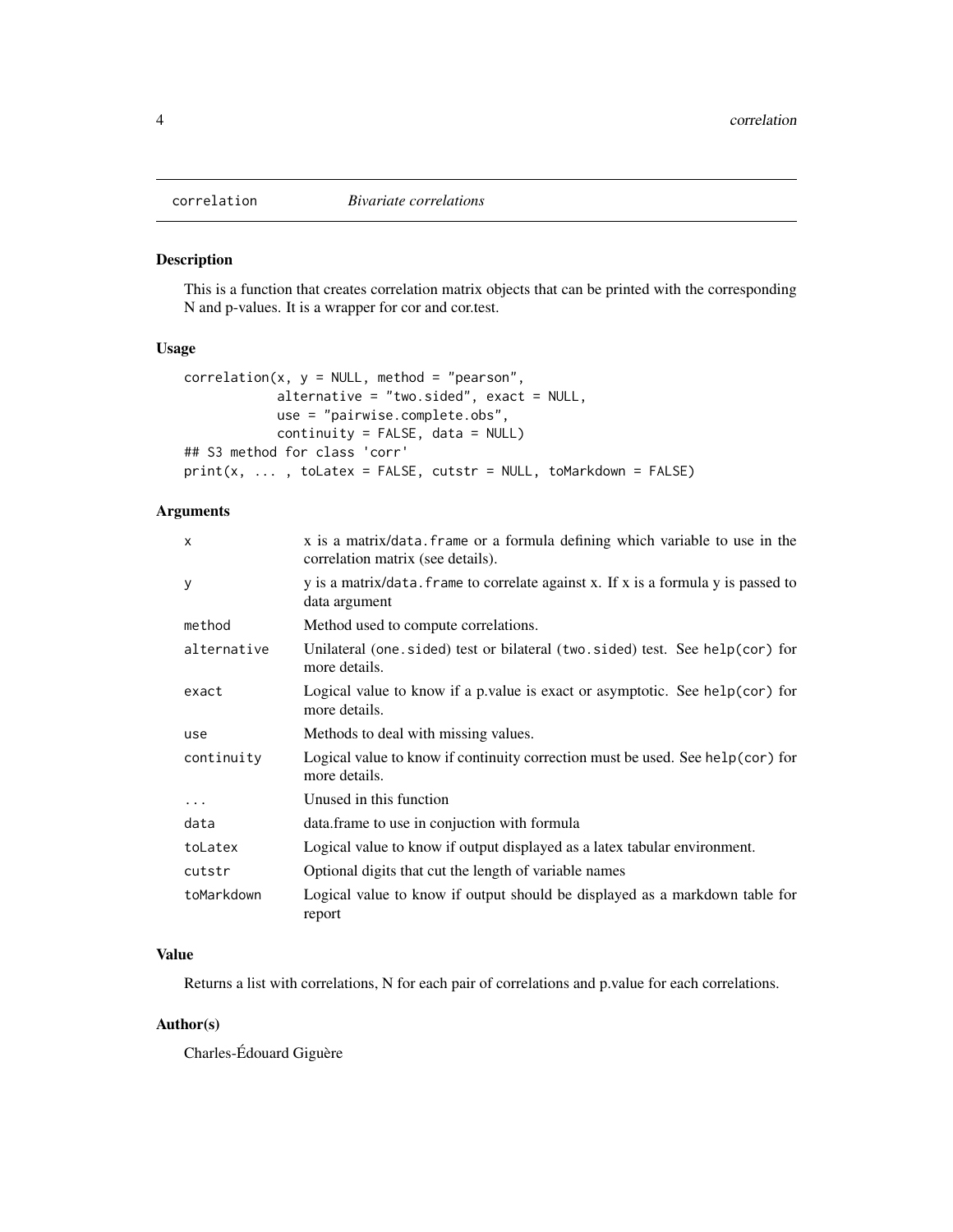<span id="page-3-0"></span>

This is a function that creates correlation matrix objects that can be printed with the corresponding N and p-values. It is a wrapper for cor and cor.test.

#### Usage

```
correlation(x, y = NULL, method = "pearson",alternative = "two.sided", exact = NULL,use = "pairwise.complete.obs",
            continuity = FALSE, data = NULL)## S3 method for class 'corr'
print(x, \ldots, tolates = FALSE, cutstr = NULL, toMarkdown = FALSE)
```
# Arguments

| X           | x is a matrix/data. frame or a formula defining which variable to use in the<br>correlation matrix (see details). |
|-------------|-------------------------------------------------------------------------------------------------------------------|
| У           | y is a matrix/data. frame to correlate against x. If x is a formula y is passed to<br>data argument               |
| method      | Method used to compute correlations.                                                                              |
| alternative | Unilateral (one. sided) test or bilateral (two. sided) test. See help(cor) for<br>more details.                   |
| exact       | Logical value to know if a p value is exact or asymptotic. See help $(cor)$ for<br>more details.                  |
| use         | Methods to deal with missing values.                                                                              |
| continuity  | Logical value to know if continuity correction must be used. See help $(cor)$ for<br>more details.                |
| $\ddots$    | Unused in this function                                                                                           |
| data        | data.frame to use in conjuction with formula                                                                      |
| toLatex     | Logical value to know if output displayed as a latex tabular environment.                                         |
| cutstr      | Optional digits that cut the length of variable names                                                             |
| toMarkdown  | Logical value to know if output should be displayed as a markdown table for<br>report                             |

# Value

Returns a list with correlations, N for each pair of correlations and p.value for each correlations.

# Author(s)

Charles-Édouard Giguère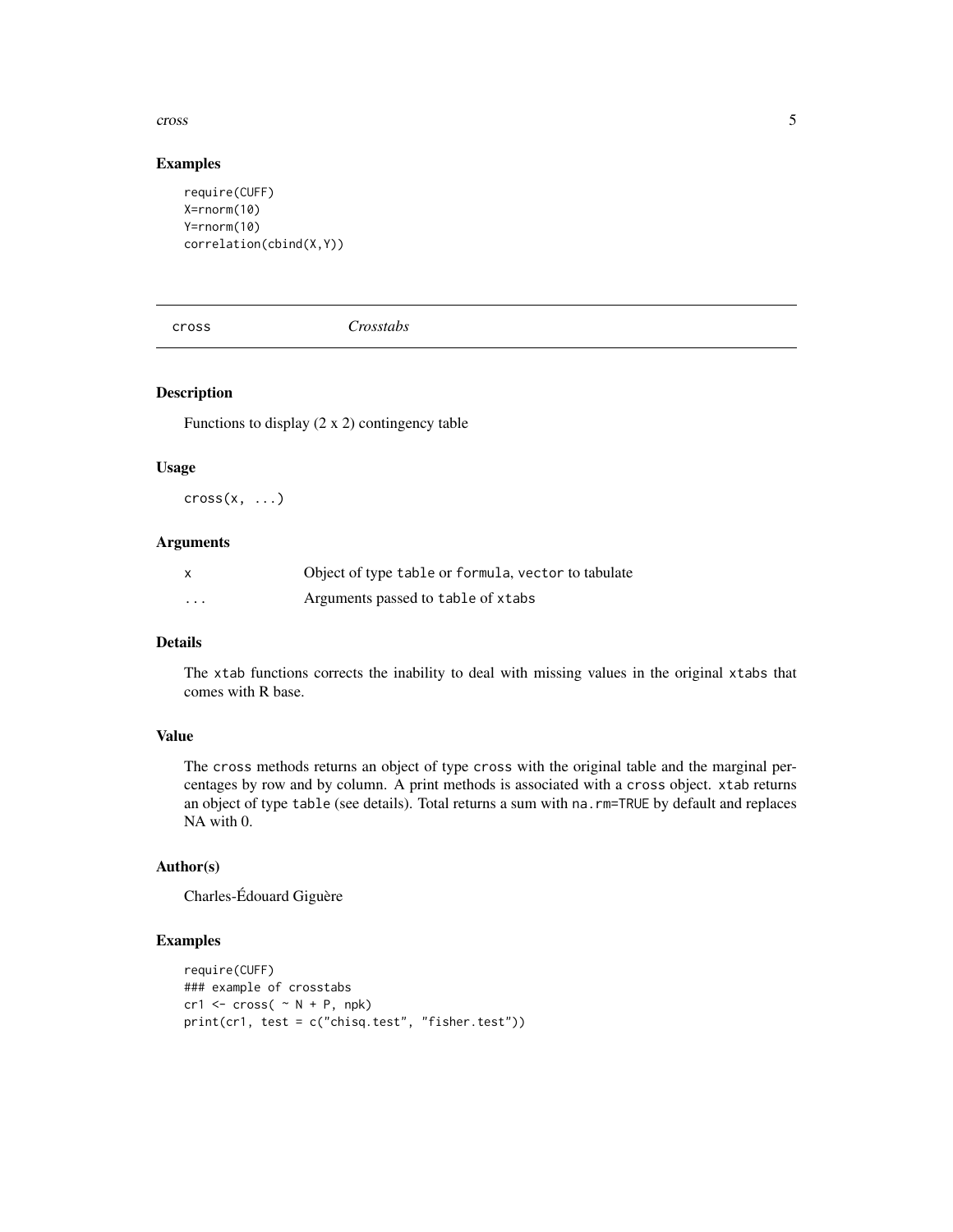#### <span id="page-4-0"></span>cross 5

#### Examples

```
require(CUFF)
X=rnorm(10)
Y=rnorm(10)
correlation(cbind(X,Y))
```
cross *Crosstabs*

# Description

Functions to display  $(2 \times 2)$  contingency table

#### Usage

 $cross(x, \ldots)$ 

# Arguments

| X | Object of type table or formula, vector to tabulate |
|---|-----------------------------------------------------|
| . | Arguments passed to table of xtabs                  |

# Details

The xtab functions corrects the inability to deal with missing values in the original xtabs that comes with R base.

# Value

The cross methods returns an object of type cross with the original table and the marginal percentages by row and by column. A print methods is associated with a cross object. xtab returns an object of type table (see details). Total returns a sum with na.rm=TRUE by default and replaces NA with 0.

# Author(s)

Charles-Édouard Giguère

```
require(CUFF)
### example of crosstabs
cr1 \leq -cross( \sim N + P, npk)print(cr1, test = c("chisq.test", "fisher.test"))
```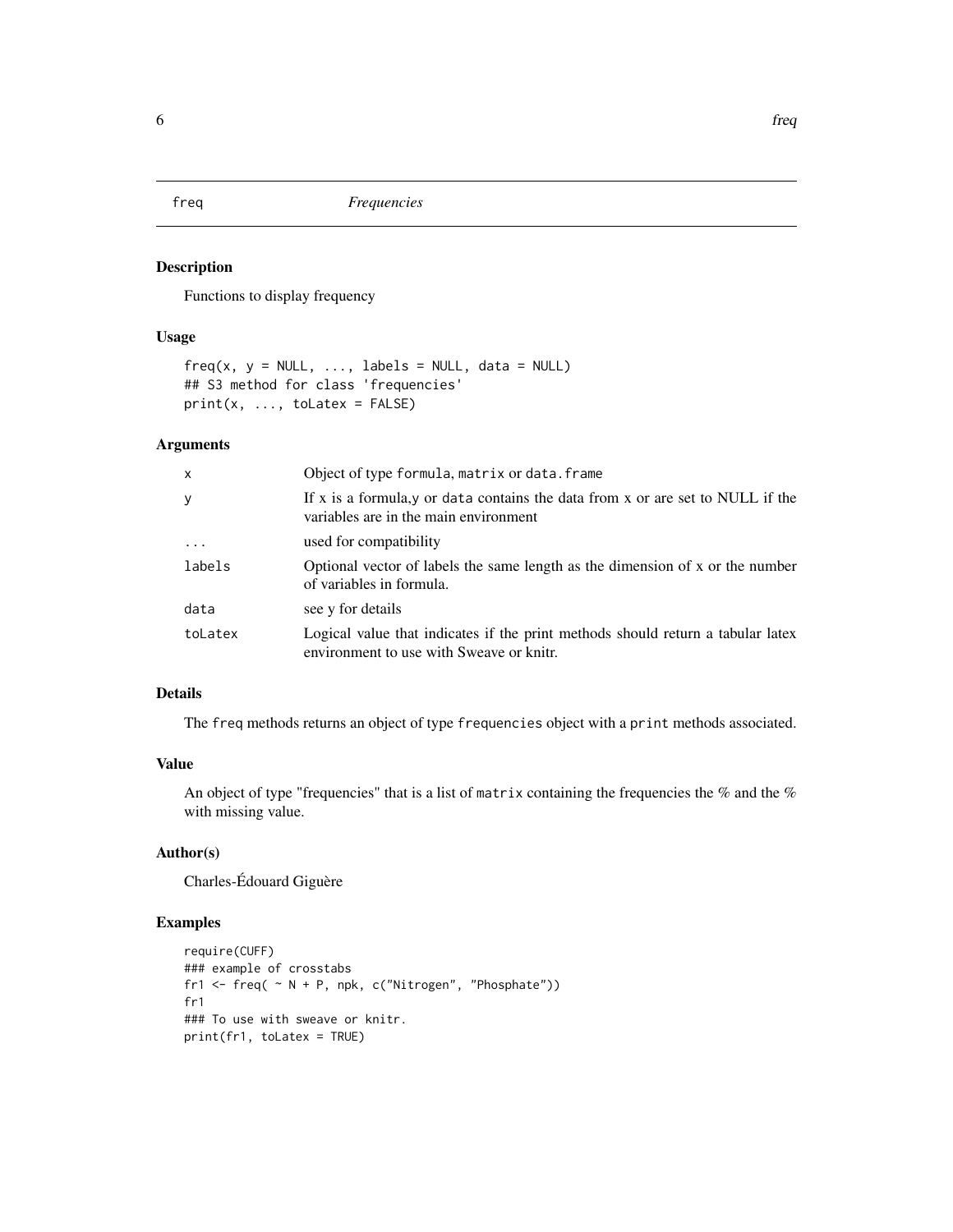<span id="page-5-0"></span>

Functions to display frequency

#### Usage

```
freq(x, y = NULL, ..., labels = NULL, data = NULL)## S3 method for class 'frequencies'
print(x, ..., toLatex = FALSE)
```
# Arguments

| $\mathsf{x}$ | Object of type formula, matrix or data. frame                                                                               |
|--------------|-----------------------------------------------------------------------------------------------------------------------------|
| y            | If x is a formula, y or data contains the data from x or are set to NULL if the<br>variables are in the main environment    |
| .            | used for compatibility                                                                                                      |
| labels       | Optional vector of labels the same length as the dimension of x or the number<br>of variables in formula.                   |
| data         | see y for details                                                                                                           |
| toLatex      | Logical value that indicates if the print methods should return a tabular latex<br>environment to use with Sweave or knitr. |

# Details

The freq methods returns an object of type frequencies object with a print methods associated.

#### Value

An object of type "frequencies" that is a list of matrix containing the frequencies the % and the % with missing value.

#### Author(s)

Charles-Édouard Giguère

```
require(CUFF)
### example of crosstabs
fr1 <- freq( \sim N + P, npk, c("Nitrogen", "Phosphate"))
fr1
### To use with sweave or knitr.
print(fr1, toLatex = TRUE)
```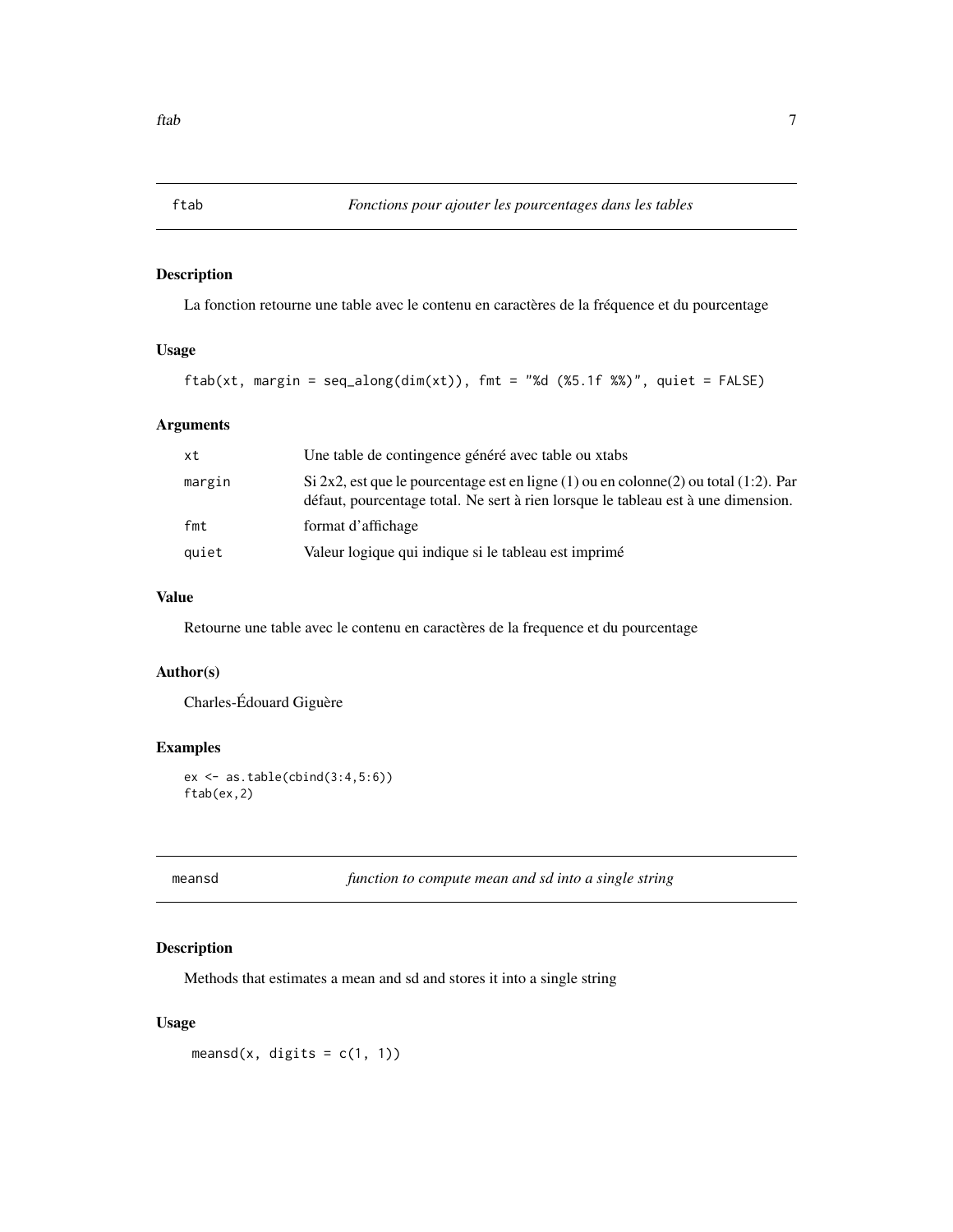<span id="page-6-0"></span>

La fonction retourne une table avec le contenu en caractères de la fréquence et du pourcentage

# Usage

```
ftab(xt, margin = seq_along(dim(xt)), fmt = "%d (%5.1f %%)", quiet = FALSE)
```
#### Arguments

| xt     | Une table de contingence généré avec table ou xtabs                                                                                                                               |
|--------|-----------------------------------------------------------------------------------------------------------------------------------------------------------------------------------|
| margin | Si 2x2, est que le pourcentage est en ligne $(1)$ ou en colonne $(2)$ ou total $(1:2)$ . Par<br>défaut, pourcentage total. Ne sert à rien lorsque le tableau est à une dimension. |
| fmt    | format d'affichage                                                                                                                                                                |
| quiet  | Valeur logique qui indique si le tableau est imprimé                                                                                                                              |

# Value

Retourne une table avec le contenu en caractères de la frequence et du pourcentage

#### Author(s)

Charles-Édouard Giguère

# Examples

```
ex <- as.table(cbind(3:4,5:6))
ftab(ex,2)
```
meansd *function to compute mean and sd into a single string*

# Description

Methods that estimates a mean and sd and stores it into a single string

# Usage

meansd(x, digits =  $c(1, 1)$ )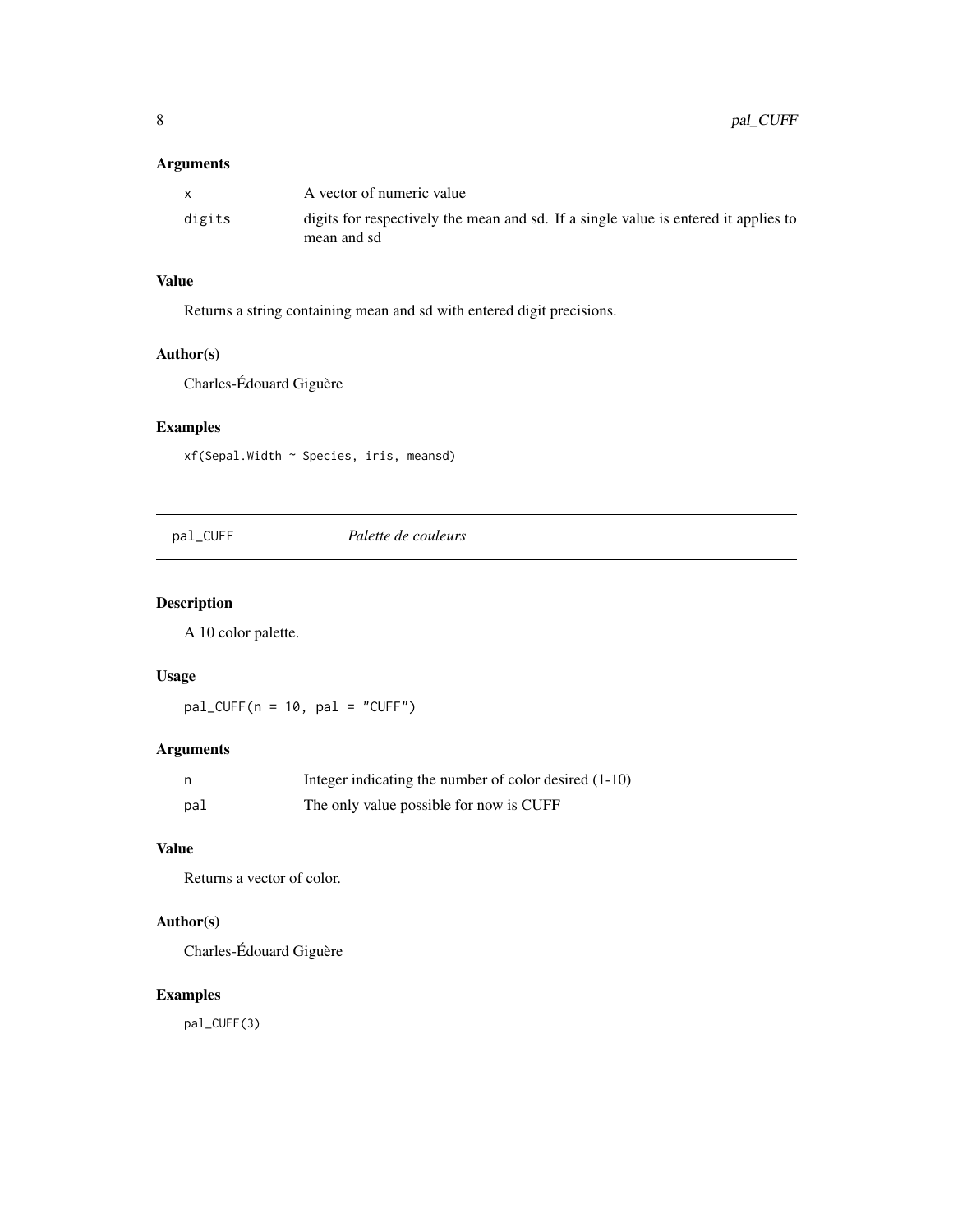# <span id="page-7-0"></span>Arguments

|        | A vector of numeric value                                                                          |
|--------|----------------------------------------------------------------------------------------------------|
| digits | digits for respectively the mean and sd. If a single value is entered it applies to<br>mean and sd |

# Value

Returns a string containing mean and sd with entered digit precisions.

# Author(s)

Charles-Édouard Giguère

# Examples

xf(Sepal.Width ~ Species, iris, meansd)

pal\_CUFF *Palette de couleurs*

# Description

A 10 color palette.

# Usage

 $pal_CUFF(n = 10, pal = "CUFF")$ 

# Arguments

| n   | Integer indicating the number of color desired $(1-10)$ |
|-----|---------------------------------------------------------|
| pal | The only value possible for now is CUFF                 |

# Value

Returns a vector of color.

# Author(s)

Charles-Édouard Giguère

# Examples

pal\_CUFF(3)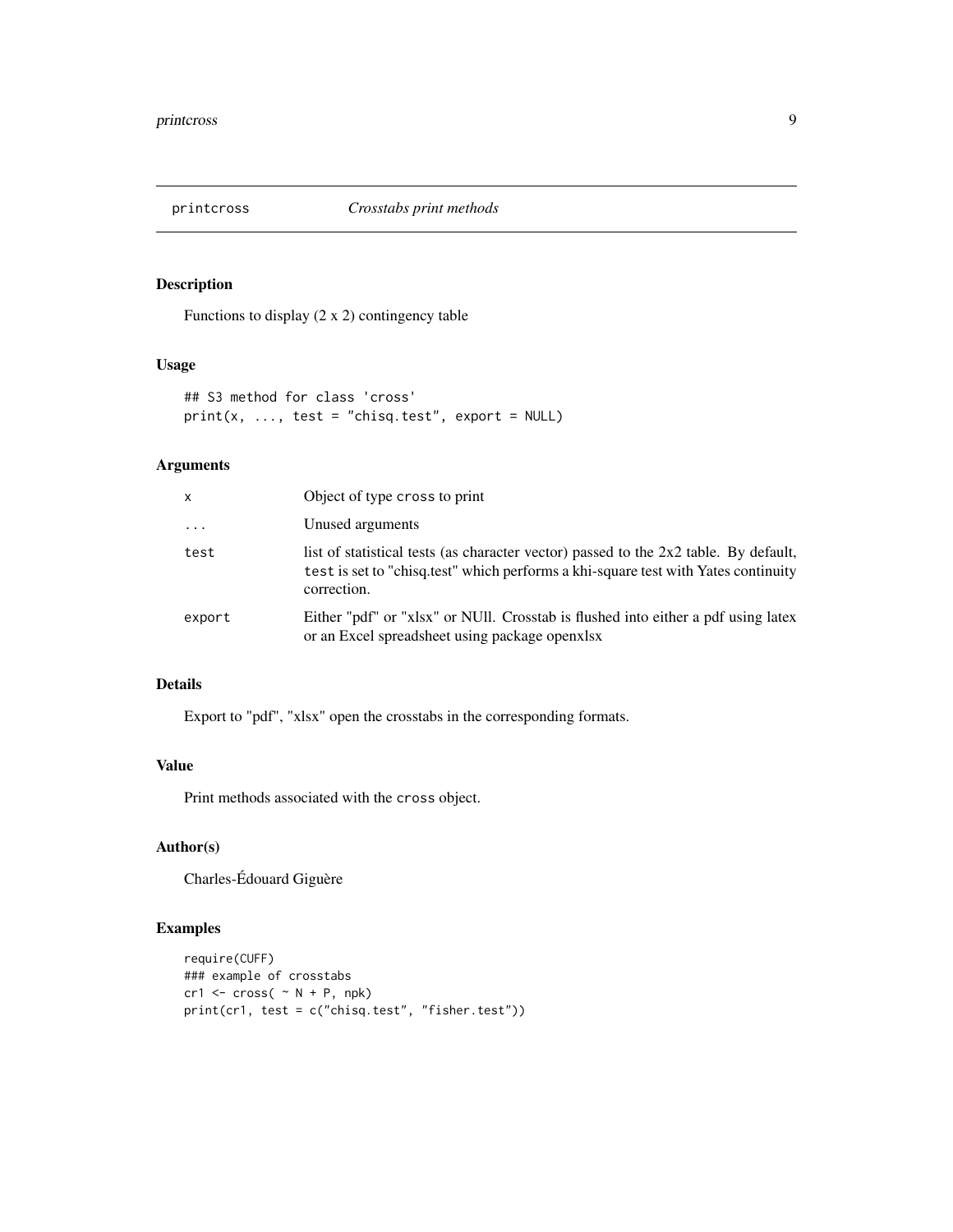<span id="page-8-0"></span>

Functions to display (2 x 2) contingency table

#### Usage

```
## S3 method for class 'cross'
print(x, ..., test = "chisq.test", export = NULL)
```
# Arguments

| x        | Object of type cross to print                                                                                                                                                             |
|----------|-------------------------------------------------------------------------------------------------------------------------------------------------------------------------------------------|
| $\cdots$ | Unused arguments                                                                                                                                                                          |
| test     | list of statistical tests (as character vector) passed to the 2x2 table. By default,<br>test is set to "chisq.test" which performs a khi-square test with Yates continuity<br>correction. |
| export   | Either "pdf" or "xlsx" or NUII. Crosstab is flushed into either a pdf using latex<br>or an Excel spreadsheet using package openxlsx                                                       |

# Details

Export to "pdf", "xlsx" open the crosstabs in the corresponding formats.

# Value

Print methods associated with the cross object.

# Author(s)

Charles-Édouard Giguère

```
require(CUFF)
### example of crosstabs
cr1 < -cross( ~ N + P, npk)print(cr1, test = c("chisq.test", "fisher.test"))
```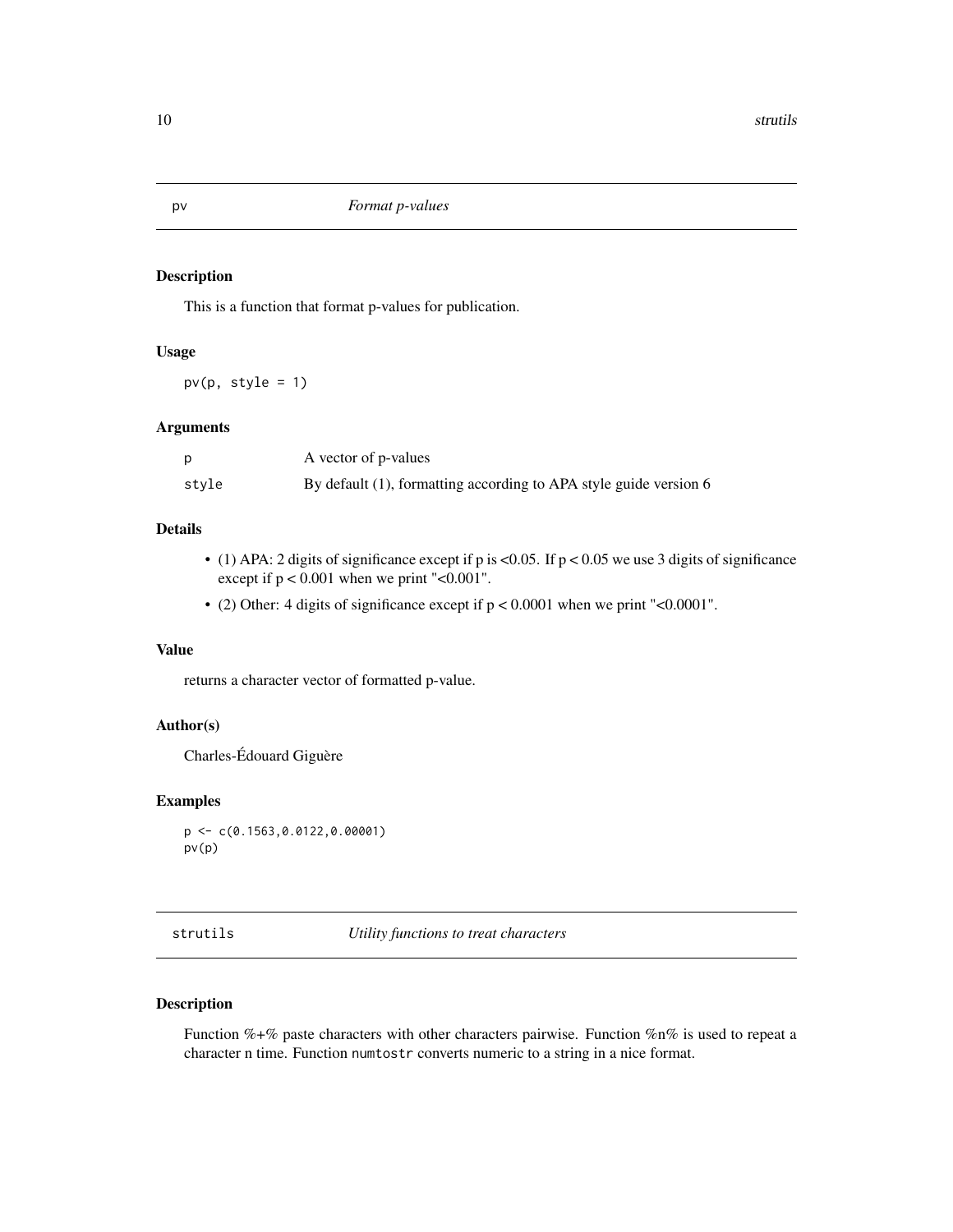This is a function that format p-values for publication.

# Usage

 $pv(p, style = 1)$ 

# Arguments

|       | A vector of p-values                                              |
|-------|-------------------------------------------------------------------|
| stvle | By default (1), formatting according to APA style guide version 6 |

#### Details

- (1) APA: 2 digits of significance except if p is <0.05. If  $p$  < 0.05 we use 3 digits of significance except if  $p < 0.001$  when we print "< $0.001$ ".
- (2) Other: 4 digits of significance except if p < 0.0001 when we print "<0.0001".

## Value

returns a character vector of formatted p-value.

#### Author(s)

Charles-Édouard Giguère

#### Examples

```
p <- c(0.1563,0.0122,0.00001)
pv(p)
```
strutils *Utility functions to treat characters*

# Description

Function %+% paste characters with other characters pairwise. Function %n% is used to repeat a character n time. Function numtostr converts numeric to a string in a nice format.

<span id="page-9-0"></span>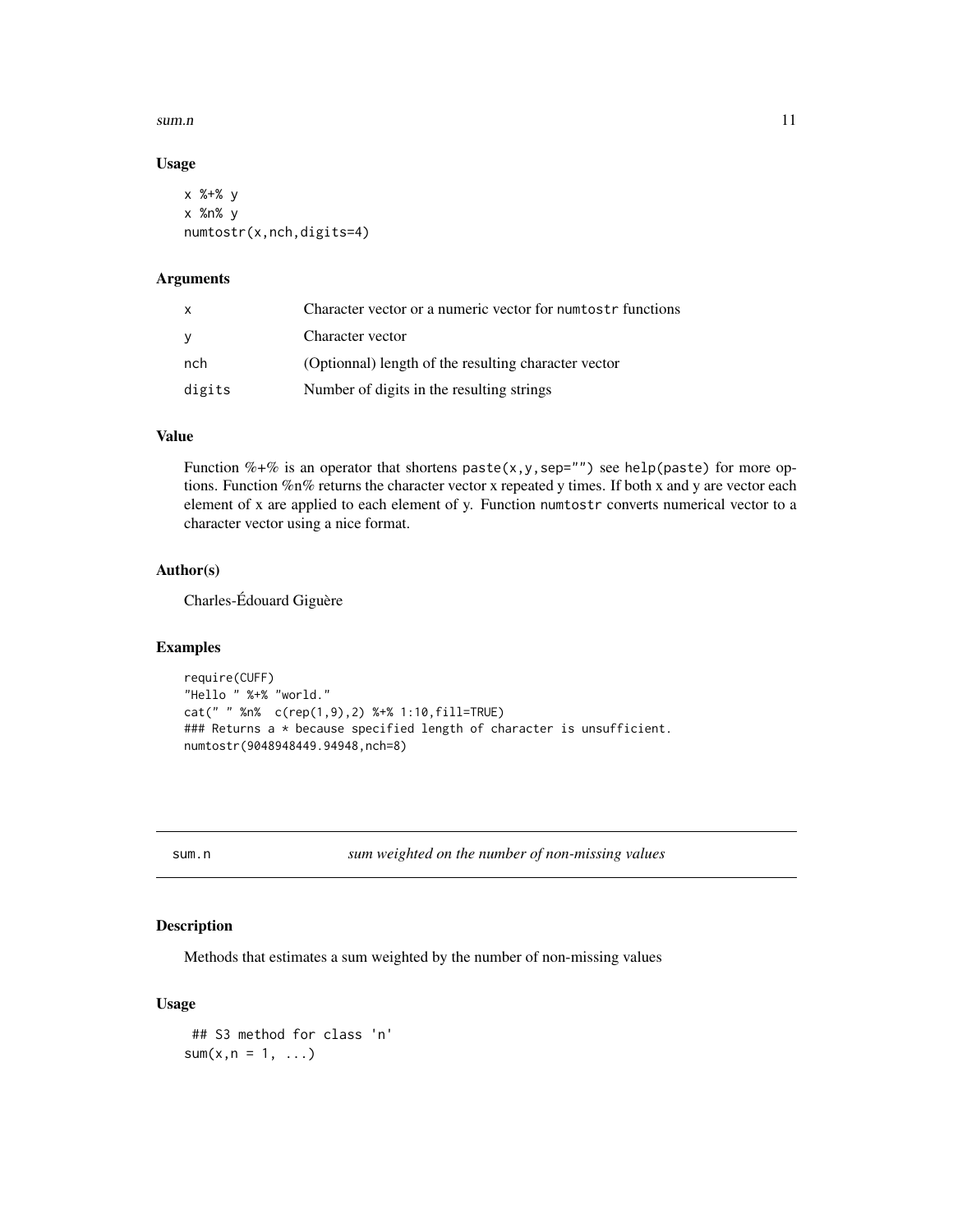#### <span id="page-10-0"></span>sum.n  $11$

#### Usage

```
x %+% y
x %n% y
numtostr(x,nch,digits=4)
```
#### Arguments

| $\mathbf{x}$ | Character vector or a numeric vector for numerostr functions |
|--------------|--------------------------------------------------------------|
| <b>V</b>     | Character vector                                             |
| nch          | (Optionnal) length of the resulting character vector         |
| digits       | Number of digits in the resulting strings                    |

### Value

Function %+% is an operator that shortens paste(x, y, sep="") see help(paste) for more options. Function %n% returns the character vector x repeated y times. If both x and y are vector each element of x are applied to each element of y. Function numtostr converts numerical vector to a character vector using a nice format.

#### Author(s)

Charles-Édouard Giguère

#### Examples

```
require(CUFF)
"Hello " %+% "world."
cat(" " %n% c(rep(1,9),2) %+% 1:10,fill=TRUE)
### Returns a * because specified length of character is unsufficient.
numtostr(9048948449.94948,nch=8)
```
sum.n *sum weighted on the number of non-missing values*

# Description

Methods that estimates a sum weighted by the number of non-missing values

#### Usage

```
## S3 method for class 'n'
sum(x, n = 1, \ldots)
```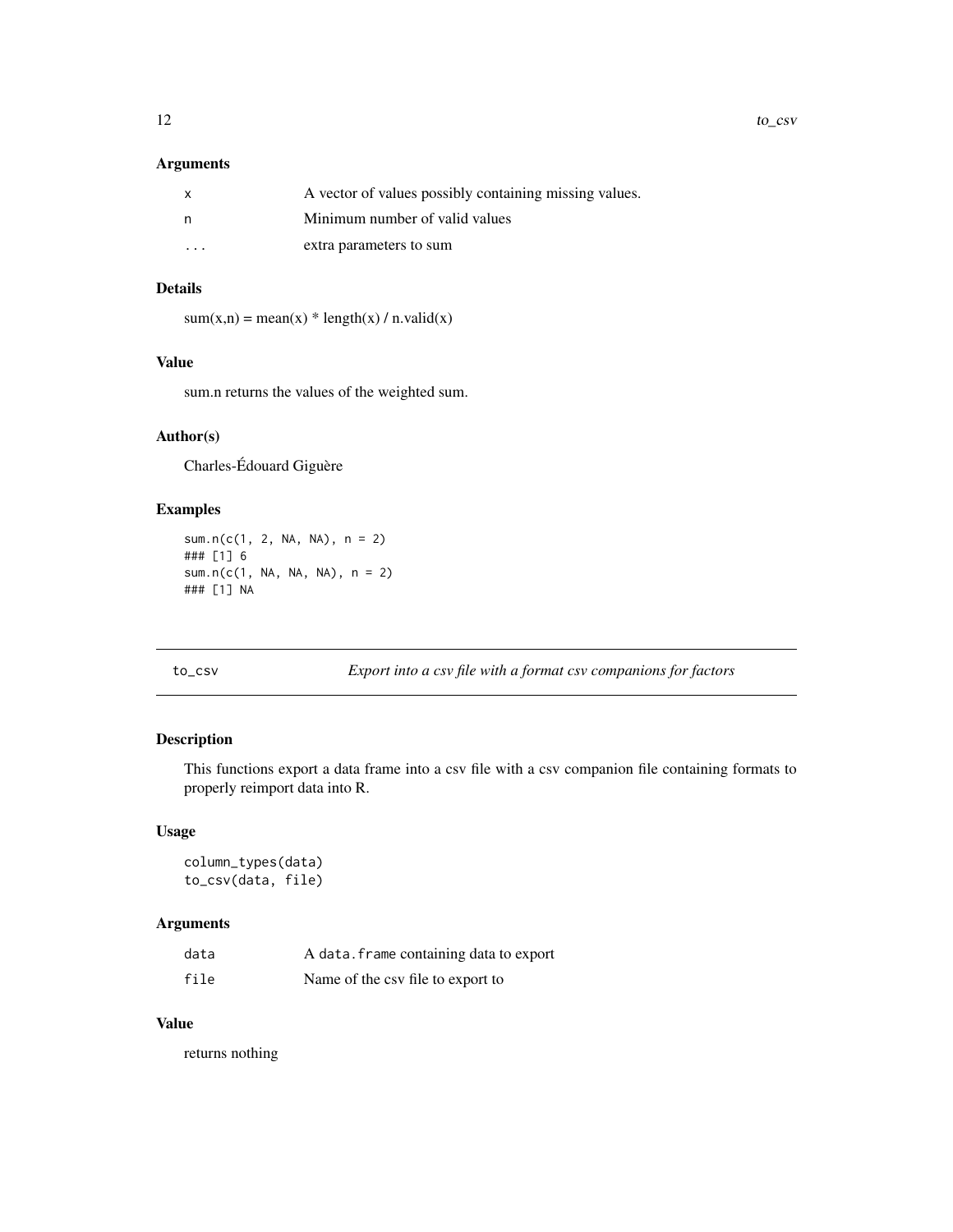#### <span id="page-11-0"></span>Arguments

| $\mathsf{x}$ | A vector of values possibly containing missing values. |
|--------------|--------------------------------------------------------|
| n            | Minimum number of valid values                         |
| $\cdot$      | extra parameters to sum                                |

# Details

 $sum(x,n) = mean(x) * length(x) / n.value(x)$ 

#### Value

sum.n returns the values of the weighted sum.

# Author(s)

Charles-Édouard Giguère

# Examples

sum.n(c(1, 2, NA, NA), n = 2) ### [1] 6 sum.n(c(1, NA, NA, NA), n = 2) ### [1] NA

to\_csv *Export into a csv file with a format csv companions for factors*

# Description

This functions export a data frame into a csv file with a csv companion file containing formats to properly reimport data into R.

#### Usage

column\_types(data) to\_csv(data, file)

# Arguments

| data | A data. frame containing data to export |
|------|-----------------------------------------|
| file | Name of the csy file to export to       |

#### Value

returns nothing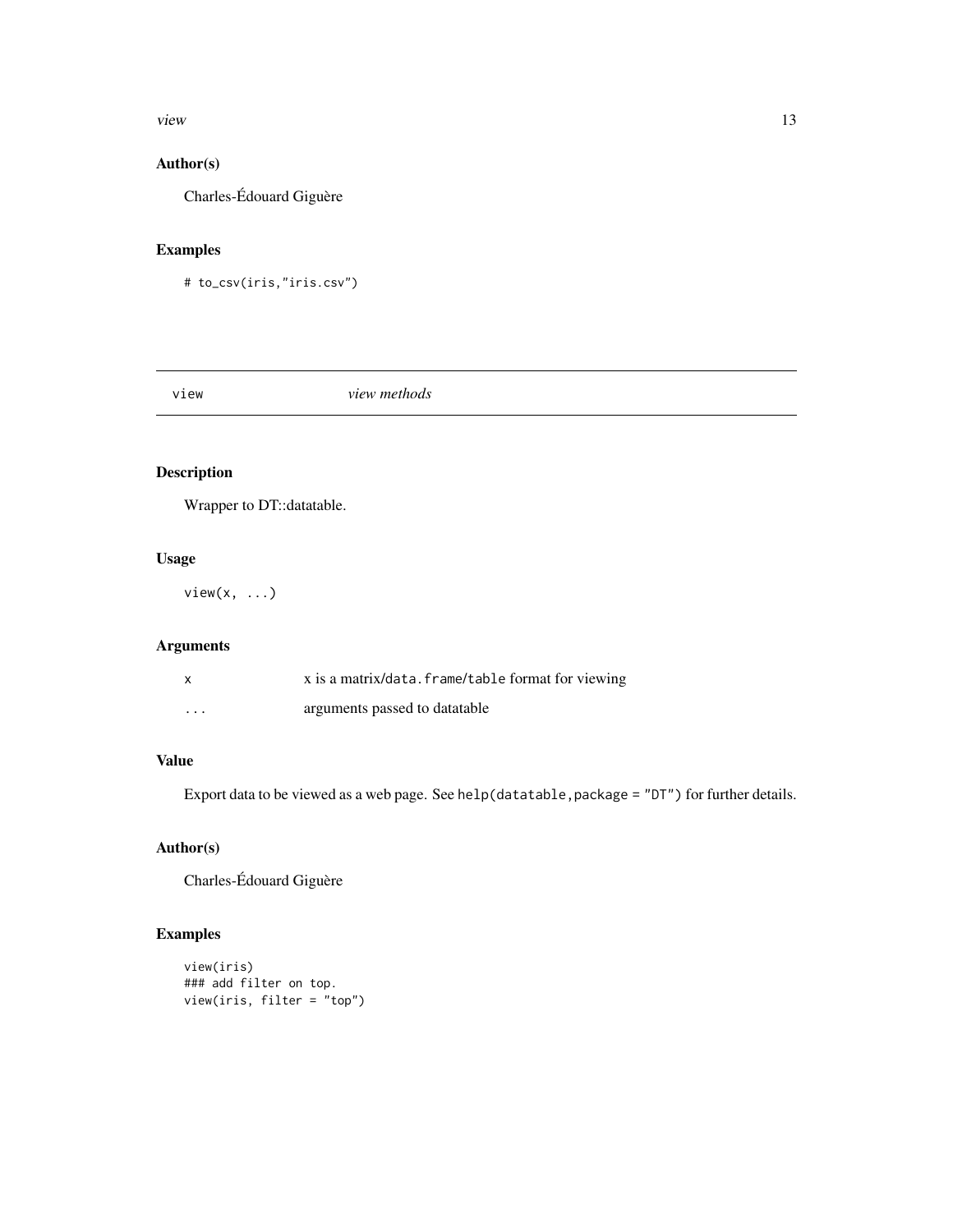#### <span id="page-12-0"></span>view 13

# Author(s)

Charles-Édouard Giguère

# Examples

```
# to_csv(iris,"iris.csv")
```
view *view methods*

# Description

Wrapper to DT::datatable.

# Usage

 $view(x, \ldots)$ 

# Arguments

| x        | x is a matrix/data. frame/table format for viewing |
|----------|----------------------------------------------------|
| $\cdots$ | arguments passed to datatable                      |

# Value

Export data to be viewed as a web page. See help(datatable,package = "DT") for further details.

# Author(s)

Charles-Édouard Giguère

```
view(iris)
### add filter on top.
view(iris, filter = "top")
```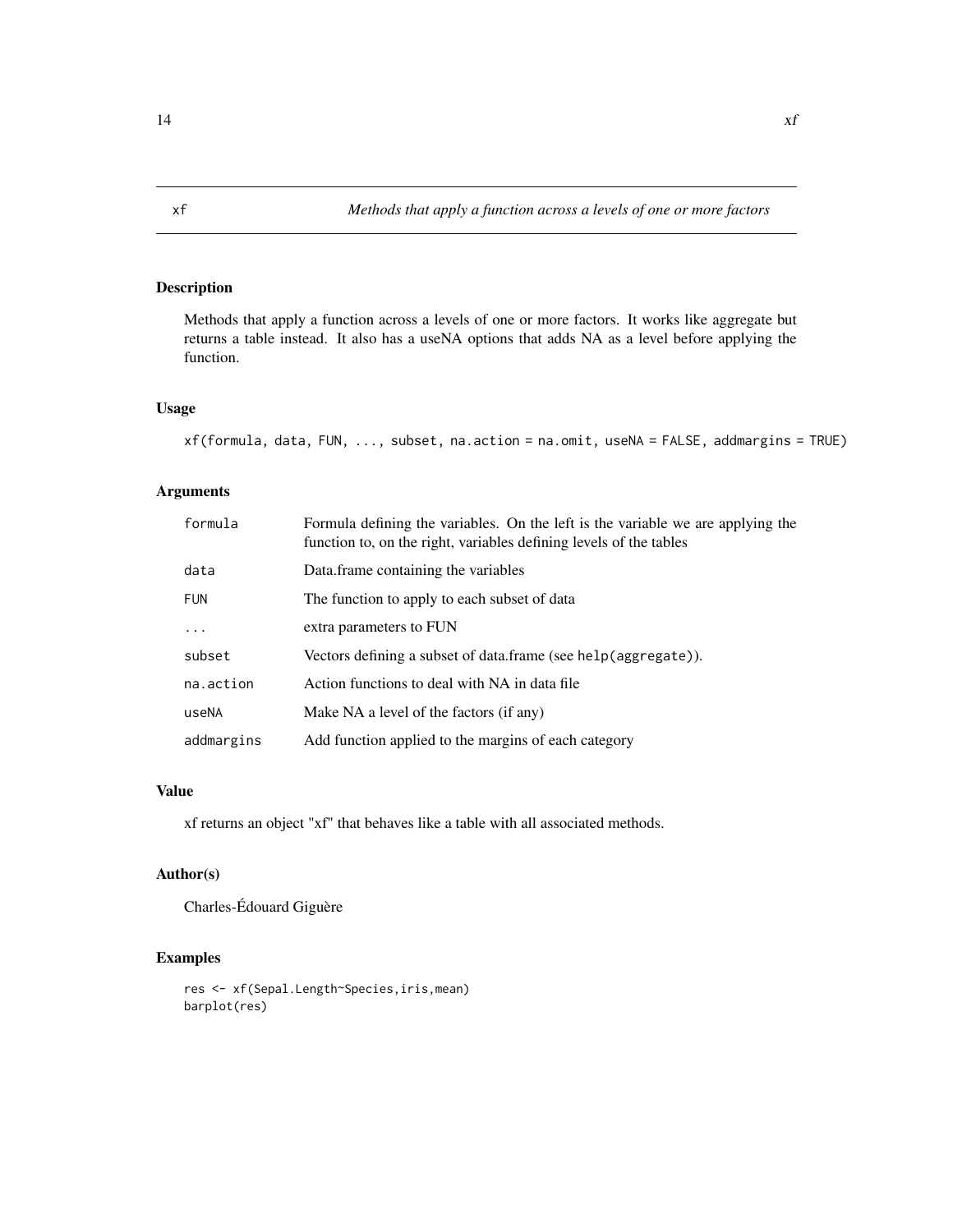Methods that apply a function across a levels of one or more factors. It works like aggregate but returns a table instead. It also has a useNA options that adds NA as a level before applying the function.

#### Usage

```
xf(formula, data, FUN, ..., subset, na.action = na.omit, useNA = FALSE, addmargins = TRUE)
```
# Arguments

| formula    | Formula defining the variables. On the left is the variable we are applying the<br>function to, on the right, variables defining levels of the tables |
|------------|-------------------------------------------------------------------------------------------------------------------------------------------------------|
| data       | Data frame containing the variables                                                                                                                   |
| <b>FUN</b> | The function to apply to each subset of data                                                                                                          |
| $\cdots$   | extra parameters to FUN                                                                                                                               |
| subset     | Vectors defining a subset of data.frame (see help(aggregate)).                                                                                        |
| na.action  | Action functions to deal with NA in data file                                                                                                         |
| useNA      | Make NA a level of the factors (if any)                                                                                                               |
| addmargins | Add function applied to the margins of each category                                                                                                  |

#### Value

xf returns an object "xf" that behaves like a table with all associated methods.

#### Author(s)

Charles-Édouard Giguère

```
res <- xf(Sepal.Length~Species,iris,mean)
barplot(res)
```
<span id="page-13-0"></span>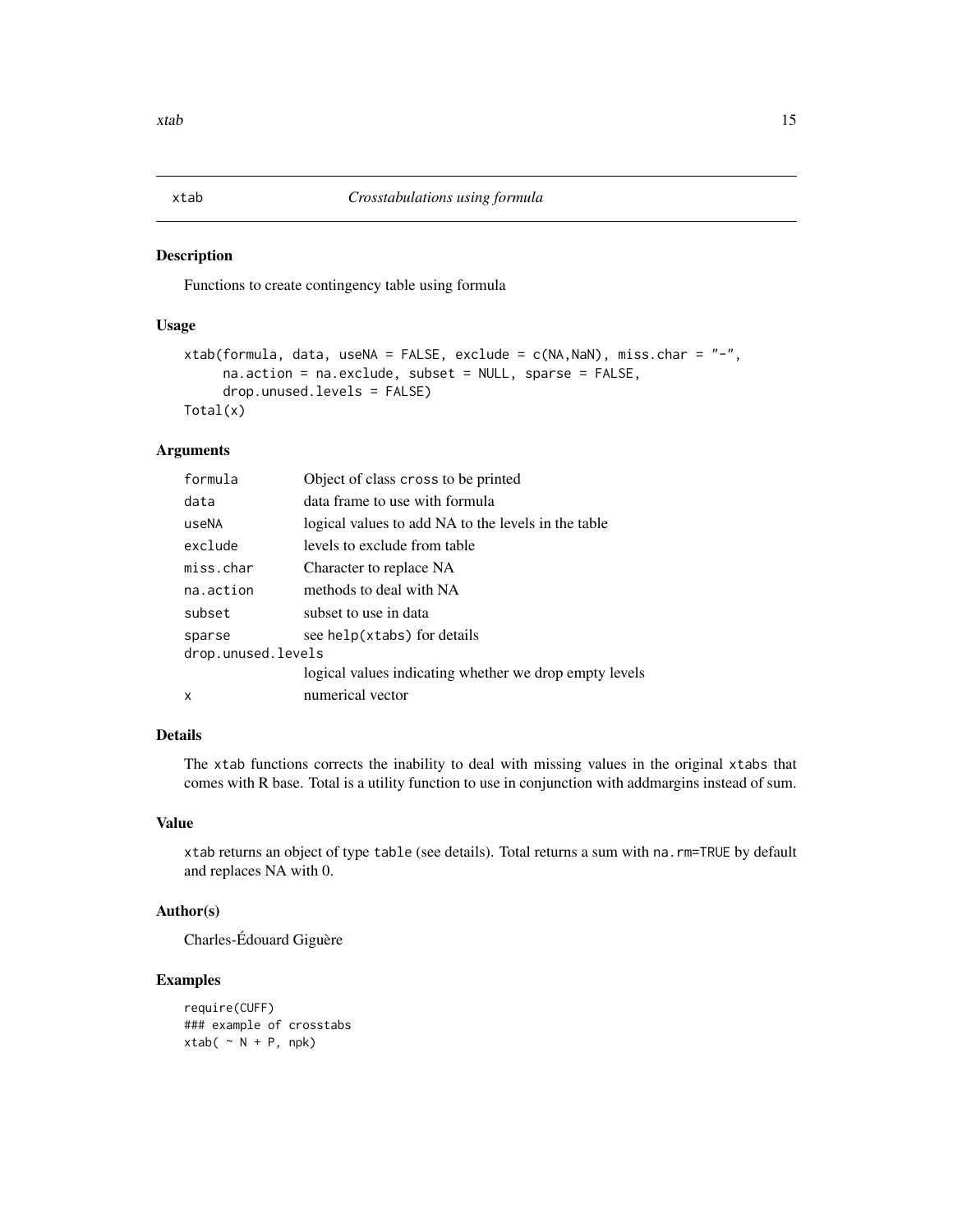<span id="page-14-0"></span>

Functions to create contingency table using formula

# Usage

```
xtab(formula, data, useNA = FALSE, exclude = c(NA,NaN), miss.char = "-",
     na.action = na.exclude, subset = NULL, sparse = FALSE,
     drop.unused.levels = FALSE)
Total(x)
```
#### Arguments

| formula            | Object of class cross to be printed                    |  |
|--------------------|--------------------------------------------------------|--|
| data               | data frame to use with formula                         |  |
| useNA              | logical values to add NA to the levels in the table    |  |
| exclude            | levels to exclude from table                           |  |
| miss.char          | Character to replace NA                                |  |
| na.action          | methods to deal with NA                                |  |
| subset             | subset to use in data                                  |  |
| sparse             | see help(xtabs) for details                            |  |
| drop.unused.levels |                                                        |  |
|                    | logical values indicating whether we drop empty levels |  |
| X                  | numerical vector                                       |  |

# Details

The xtab functions corrects the inability to deal with missing values in the original xtabs that comes with R base. Total is a utility function to use in conjunction with addmargins instead of sum.

# Value

xtab returns an object of type table (see details). Total returns a sum with na.rm=TRUE by default and replaces NA with 0.

#### Author(s)

Charles-Édouard Giguère

```
require(CUFF)
### example of crosstabs
xtab(~ ~ N + P, npk)
```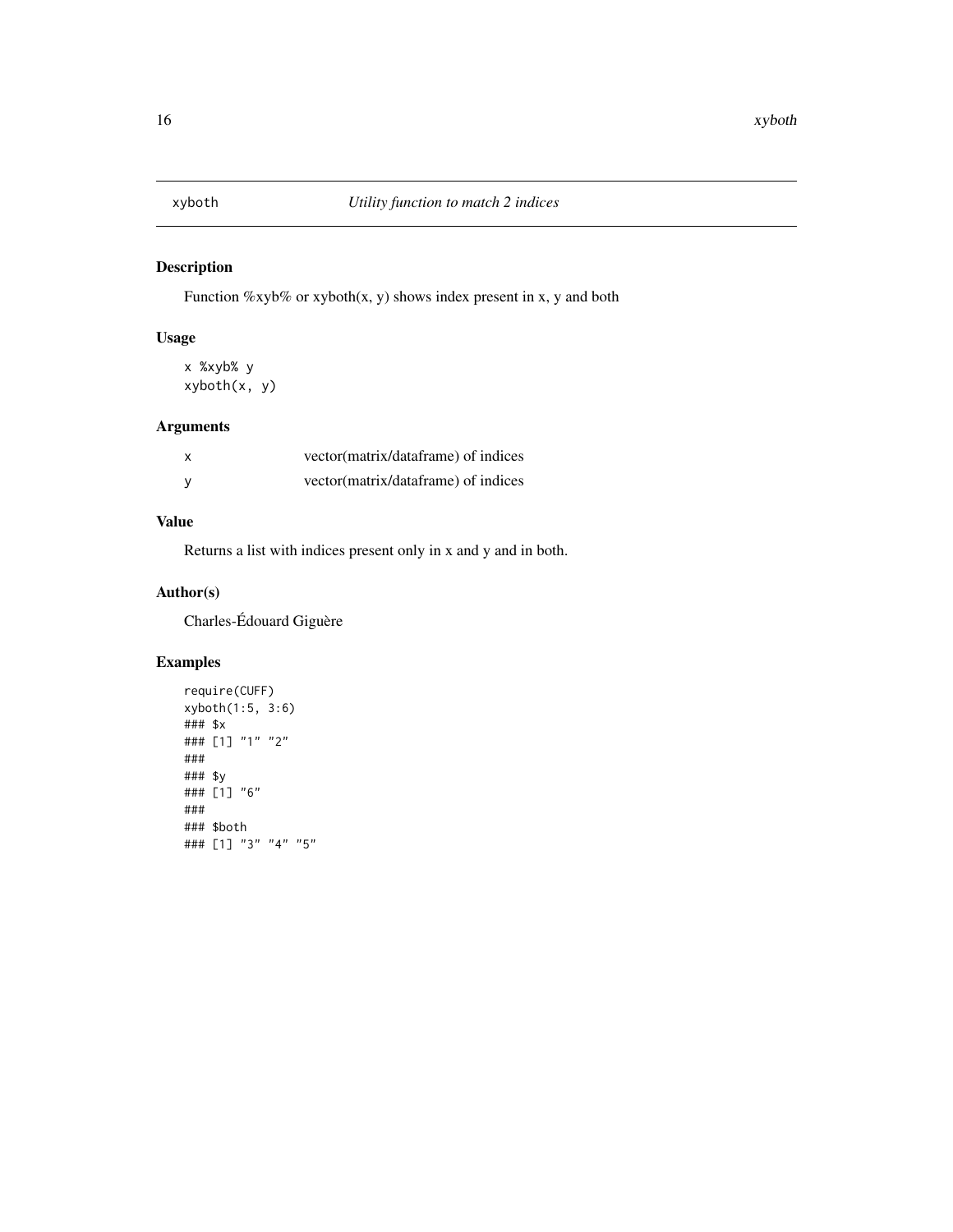<span id="page-15-0"></span>

Function  $\frac{6}{x}$ yb $\frac{6}{x}$  or xyboth(x, y) shows index present in x, y and both

# Usage

x %xyb% y xyboth(x, y)

# Arguments

| vector(matrix/dataframe) of indices |
|-------------------------------------|
| vector(matrix/dataframe) of indices |

# Value

Returns a list with indices present only in x and y and in both.

# Author(s)

Charles-Édouard Giguère

```
require(CUFF)
xyboth(1:5, 3:6)
### $x
### [1] "1" "2"
###
### $y
### [1] "6"
###
### $both
### [1] "3" "4" "5"
```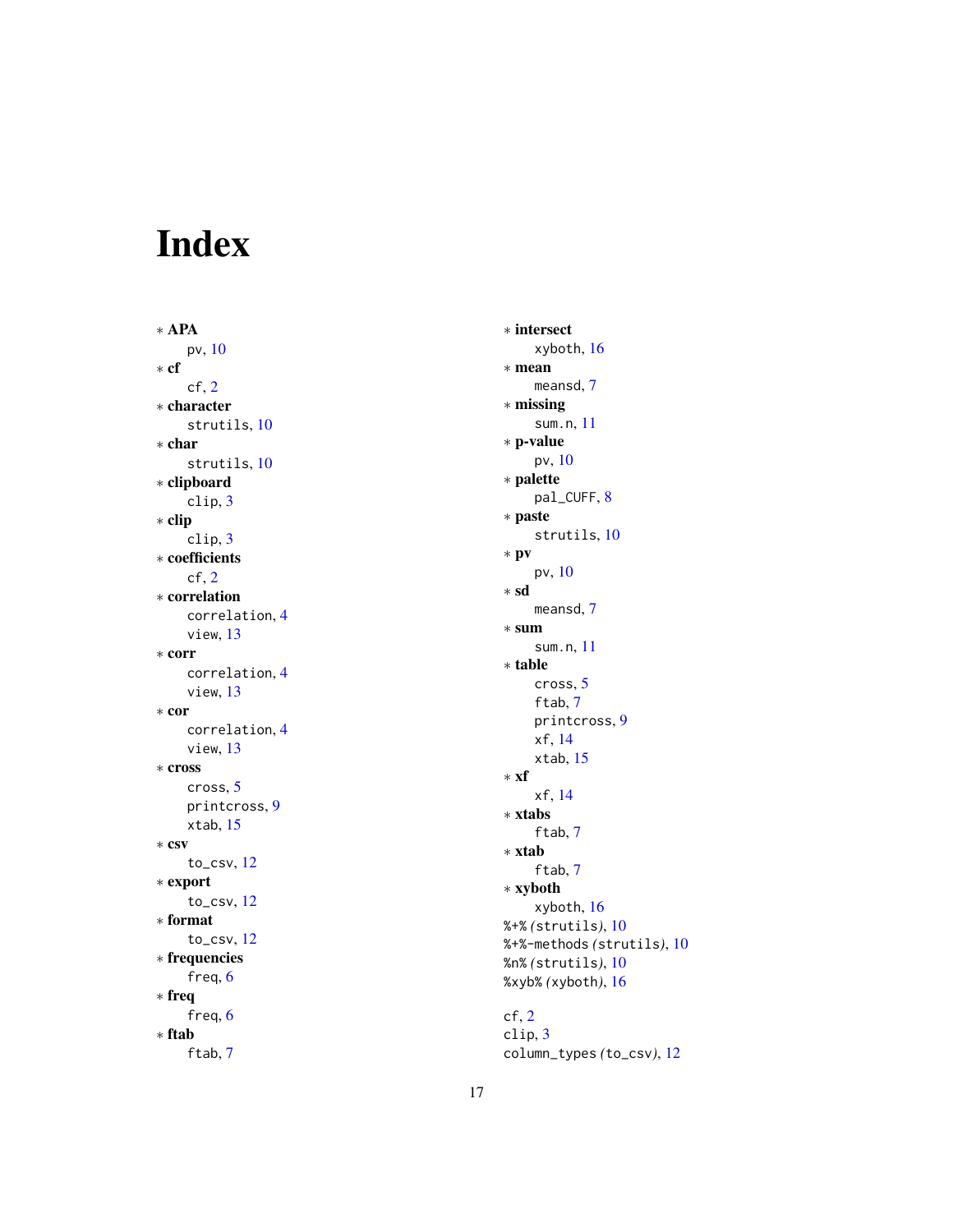# <span id="page-16-0"></span>Index

∗ APA pv , [10](#page-9-0) ∗ cf cf , [2](#page-1-0) ∗ character strutils , [10](#page-9-0) ∗ char strutils , [10](#page-9-0) ∗ clipboard clip , [3](#page-2-0) ∗ clip clip , [3](#page-2-0) ∗ coefficients cf , [2](#page-1-0) ∗ correlation correlation , [4](#page-3-0) view , [13](#page-12-0) ∗ corr correlation , [4](#page-3-0) view , [13](#page-12-0) ∗ cor correlation , [4](#page-3-0) view , [13](#page-12-0) ∗ cross cross , [5](#page-4-0) printcross , [9](#page-8-0) xtab , [15](#page-14-0) ∗ csv to\_csv , [12](#page-11-0) ∗ export to\_csv , [12](#page-11-0) ∗ format to\_csv , [12](#page-11-0) ∗ frequencies freq, [6](#page-5-0) ∗ freq freq, [6](#page-5-0) ∗ ftab ftab , [7](#page-6-0)

∗ intersect xyboth , [16](#page-15-0) ∗ mean meansd , [7](#page-6-0) ∗ missing sum.n, [11](#page-10-0) ∗ p-value pv , [10](#page-9-0) ∗ palette pal\_CUFF, [8](#page-7-0) ∗ paste strutils , [10](#page-9-0) ∗ pv pv , [10](#page-9-0) ∗ sd meansd , [7](#page-6-0) ∗ sum sum.n, [11](#page-10-0) ∗ table cross , [5](#page-4-0) ftab , [7](#page-6-0) printcross , [9](#page-8-0) xf , [14](#page-13-0) xtab , [15](#page-14-0) ∗ xf xf , [14](#page-13-0) ∗ xtabs ftab , [7](#page-6-0) ∗ xtab ftab , [7](#page-6-0) ∗ xyboth xyboth , [16](#page-15-0) %+% *(*strutils *)* , [10](#page-9-0) %+%-methods *(*strutils *)* , [10](#page-9-0) %n% *(*strutils *)* , [10](#page-9-0) %xyb% *(*xyboth *)* , [16](#page-15-0)  $cf, 2$  $cf, 2$ 

clip , [3](#page-2-0) column\_types *(*to\_csv *)* , [12](#page-11-0)